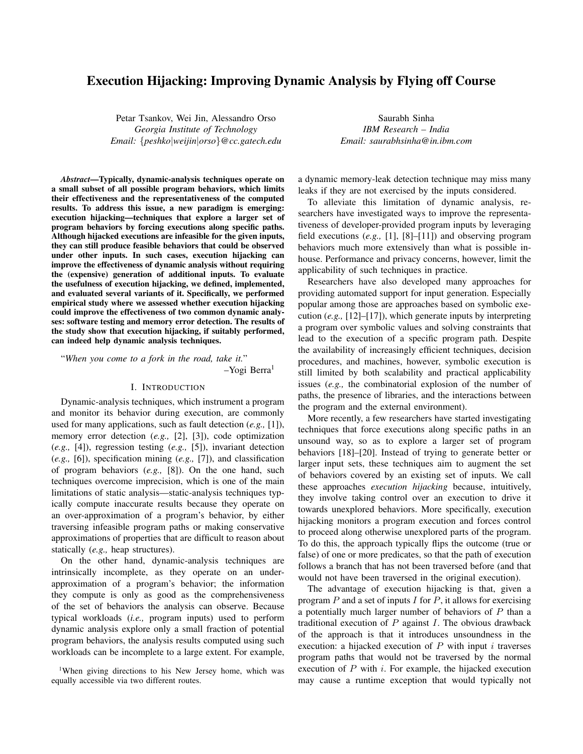# Execution Hijacking: Improving Dynamic Analysis by Flying off Course

Petar Tsankov, Wei Jin, Alessandro Orso *Georgia Institute of Technology Email:* {*peshko*|*weijin*|*orso*}*@cc.gatech.edu*

*Abstract*—Typically, dynamic-analysis techniques operate on a small subset of all possible program behaviors, which limits their effectiveness and the representativeness of the computed results. To address this issue, a new paradigm is emerging: execution hijacking—techniques that explore a larger set of program behaviors by forcing executions along specific paths. Although hijacked executions are infeasible for the given inputs, they can still produce feasible behaviors that could be observed under other inputs. In such cases, execution hijacking can improve the effectiveness of dynamic analysis without requiring the (expensive) generation of additional inputs. To evaluate the usefulness of execution hijacking, we defined, implemented, and evaluated several variants of it. Specifically, we performed empirical study where we assessed whether execution hijacking could improve the effectiveness of two common dynamic analyses: software testing and memory error detection. The results of the study show that execution hijacking, if suitably performed, can indeed help dynamic analysis techniques.

"*When you come to a fork in the road, take it.*" –Yogi Berra<sup>1</sup>

## I. INTRODUCTION

Dynamic-analysis techniques, which instrument a program and monitor its behavior during execution, are commonly used for many applications, such as fault detection (*e.g.,* [1]), memory error detection (*e.g.,* [2], [3]), code optimization (*e.g.,* [4]), regression testing (*e.g.,* [5]), invariant detection (*e.g.,* [6]), specification mining (*e.g.,* [7]), and classification of program behaviors (*e.g.,* [8]). On the one hand, such techniques overcome imprecision, which is one of the main limitations of static analysis—static-analysis techniques typically compute inaccurate results because they operate on an over-approximation of a program's behavior, by either traversing infeasible program paths or making conservative approximations of properties that are difficult to reason about statically (*e.g.,* heap structures).

On the other hand, dynamic-analysis techniques are intrinsically incomplete, as they operate on an underapproximation of a program's behavior; the information they compute is only as good as the comprehensiveness of the set of behaviors the analysis can observe. Because typical workloads (*i.e.,* program inputs) used to perform dynamic analysis explore only a small fraction of potential program behaviors, the analysis results computed using such workloads can be incomplete to a large extent. For example,

<sup>1</sup>When giving directions to his New Jersey home, which was equally accessible via two different routes.

Saurabh Sinha *IBM Research – India Email: saurabhsinha@in.ibm.com*

a dynamic memory-leak detection technique may miss many leaks if they are not exercised by the inputs considered.

To alleviate this limitation of dynamic analysis, researchers have investigated ways to improve the representativeness of developer-provided program inputs by leveraging field executions (*e.g.,* [1], [8]–[11]) and observing program behaviors much more extensively than what is possible inhouse. Performance and privacy concerns, however, limit the applicability of such techniques in practice.

Researchers have also developed many approaches for providing automated support for input generation. Especially popular among those are approaches based on symbolic execution (*e.g.,* [12]–[17]), which generate inputs by interpreting a program over symbolic values and solving constraints that lead to the execution of a specific program path. Despite the availability of increasingly efficient techniques, decision procedures, and machines, however, symbolic execution is still limited by both scalability and practical applicability issues (*e.g.,* the combinatorial explosion of the number of paths, the presence of libraries, and the interactions between the program and the external environment).

More recently, a few researchers have started investigating techniques that force executions along specific paths in an unsound way, so as to explore a larger set of program behaviors [18]–[20]. Instead of trying to generate better or larger input sets, these techniques aim to augment the set of behaviors covered by an existing set of inputs. We call these approaches *execution hijacking* because, intuitively, they involve taking control over an execution to drive it towards unexplored behaviors. More specifically, execution hijacking monitors a program execution and forces control to proceed along otherwise unexplored parts of the program. To do this, the approach typically flips the outcome (true or false) of one or more predicates, so that the path of execution follows a branch that has not been traversed before (and that would not have been traversed in the original execution).

The advantage of execution hijacking is that, given a program  $P$  and a set of inputs  $I$  for  $P$ , it allows for exercising a potentially much larger number of behaviors of  $P$  than a traditional execution of  $P$  against  $I$ . The obvious drawback of the approach is that it introduces unsoundness in the execution: a hijacked execution of  $P$  with input i traverses program paths that would not be traversed by the normal execution of  $P$  with  $i$ . For example, the hijacked execution may cause a runtime exception that would typically not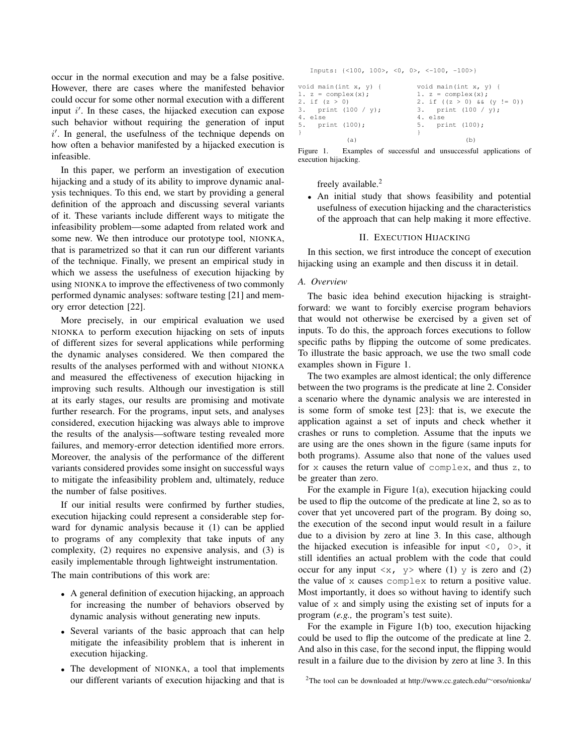occur in the normal execution and may be a false positive. However, there are cases where the manifested behavior could occur for some other normal execution with a different input  $i'$ . In these cases, the hijacked execution can expose such behavior without requiring the generation of input i'. In general, the usefulness of the technique depends on how often a behavior manifested by a hijacked execution is infeasible.

In this paper, we perform an investigation of execution hijacking and a study of its ability to improve dynamic analysis techniques. To this end, we start by providing a general definition of the approach and discussing several variants of it. These variants include different ways to mitigate the infeasibility problem—some adapted from related work and some new. We then introduce our prototype tool, NIONKA, that is parametrized so that it can run our different variants of the technique. Finally, we present an empirical study in which we assess the usefulness of execution hijacking by using NIONKA to improve the effectiveness of two commonly performed dynamic analyses: software testing [21] and memory error detection [22].

More precisely, in our empirical evaluation we used NIONKA to perform execution hijacking on sets of inputs of different sizes for several applications while performing the dynamic analyses considered. We then compared the results of the analyses performed with and without NIONKA and measured the effectiveness of execution hijacking in improving such results. Although our investigation is still at its early stages, our results are promising and motivate further research. For the programs, input sets, and analyses considered, execution hijacking was always able to improve the results of the analysis—software testing revealed more failures, and memory-error detection identified more errors. Moreover, the analysis of the performance of the different variants considered provides some insight on successful ways to mitigate the infeasibility problem and, ultimately, reduce the number of false positives.

If our initial results were confirmed by further studies, execution hijacking could represent a considerable step forward for dynamic analysis because it (1) can be applied to programs of any complexity that take inputs of any complexity, (2) requires no expensive analysis, and (3) is easily implementable through lightweight instrumentation.

The main contributions of this work are:

- A general definition of execution hijacking, an approach for increasing the number of behaviors observed by dynamic analysis without generating new inputs.
- Several variants of the basic approach that can help mitigate the infeasibility problem that is inherent in execution hijacking.
- The development of NIONKA, a tool that implements our different variants of execution hijacking and that is

```
Inputs: {<100, 100>, <0, 0>, <-100, -100>}
void main(int x, y) {
1. z = \text{complex}(x);
2. if (z > 0)3. print (100 / y);
4. else
5. print (100);
            (a)
                               void main(int x, y) {
                              1. z = complex(x);
                               2. if ((z > 0) && (y != 0))
                              3. print (100 / y);
                               4. else
                               5. print (100);
                               }
                                            (b)
```
Figure 1. Examples of successful and unsuccessful applications of execution hijacking.

freely available.<sup>2</sup>

• An initial study that shows feasibility and potential usefulness of execution hijacking and the characteristics of the approach that can help making it more effective.

## II. EXECUTION HIJACKING

In this section, we first introduce the concept of execution hijacking using an example and then discuss it in detail.

## *A. Overview*

}

The basic idea behind execution hijacking is straightforward: we want to forcibly exercise program behaviors that would not otherwise be exercised by a given set of inputs. To do this, the approach forces executions to follow specific paths by flipping the outcome of some predicates. To illustrate the basic approach, we use the two small code examples shown in Figure 1.

The two examples are almost identical; the only difference between the two programs is the predicate at line 2. Consider a scenario where the dynamic analysis we are interested in is some form of smoke test [23]: that is, we execute the application against a set of inputs and check whether it crashes or runs to completion. Assume that the inputs we are using are the ones shown in the figure (same inputs for both programs). Assume also that none of the values used for x causes the return value of complex, and thus z, to be greater than zero.

For the example in Figure 1(a), execution hijacking could be used to flip the outcome of the predicate at line 2, so as to cover that yet uncovered part of the program. By doing so, the execution of the second input would result in a failure due to a division by zero at line 3. In this case, although the hijacked execution is infeasible for input  $\langle 0, 0 \rangle$ , it still identifies an actual problem with the code that could occur for any input  $\langle x, y \rangle$  where (1) y is zero and (2) the value of x causes complex to return a positive value. Most importantly, it does so without having to identify such value of x and simply using the existing set of inputs for a program (*e.g.,* the program's test suite).

For the example in Figure 1(b) too, execution hijacking could be used to flip the outcome of the predicate at line 2. And also in this case, for the second input, the flipping would result in a failure due to the division by zero at line 3. In this

<sup>2</sup>The tool can be downloaded at http://www.cc.gatech.edu/∼orso/nionka/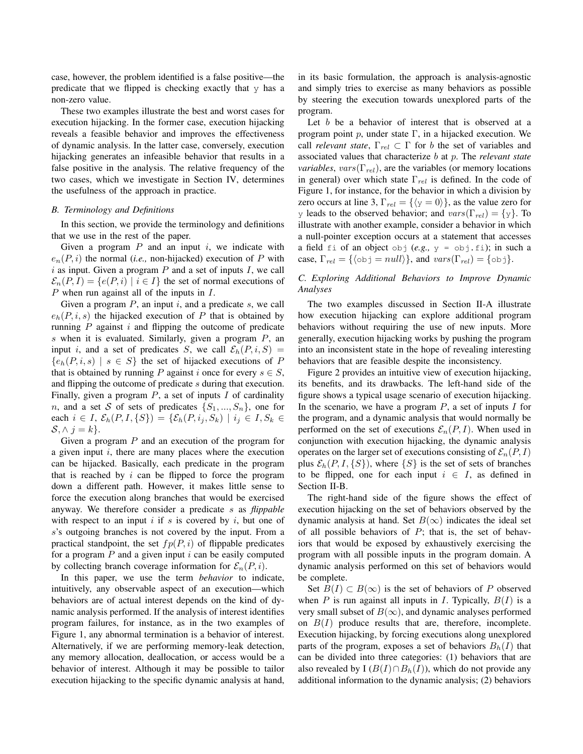case, however, the problem identified is a false positive—the predicate that we flipped is checking exactly that y has a non-zero value.

These two examples illustrate the best and worst cases for execution hijacking. In the former case, execution hijacking reveals a feasible behavior and improves the effectiveness of dynamic analysis. In the latter case, conversely, execution hijacking generates an infeasible behavior that results in a false positive in the analysis. The relative frequency of the two cases, which we investigate in Section IV, determines the usefulness of the approach in practice.

## *B. Terminology and Definitions*

In this section, we provide the terminology and definitions that we use in the rest of the paper.

Given a program  $P$  and an input  $i$ , we indicate with  $e_n(P, i)$  the normal (*i.e.*, non-hijacked) execution of P with i as input. Given a program  $P$  and a set of inputs  $I$ , we call  $\mathcal{E}_n(P, I) = \{e(P, i) \mid i \in I\}$  the set of normal executions of P when run against all of the inputs in I.

Given a program  $P$ , an input i, and a predicate s, we call  $e_h(P, i, s)$  the hijacked execution of P that is obtained by running  $P$  against  $i$  and flipping the outcome of predicate s when it is evaluated. Similarly, given a program P, an input i, and a set of predicates S, we call  $\mathcal{E}_h(P, i, S)$  ${e_h(P, i, s) \mid s \in S}$  the set of hijacked executions of P that is obtained by running P against i once for every  $s \in S$ , and flipping the outcome of predicate s during that execution. Finally, given a program  $P$ , a set of inputs  $I$  of cardinality n, and a set S of sets of predicates  $\{S_1, ..., S_n\}$ , one for each  $i \in I$ ,  $\mathcal{E}_h(P, I, \{S\}) = \{ \mathcal{E}_h(P, i_j, S_k) \mid i_j \in I, S_k \in$  $\mathcal{S}, \wedge j = k$ .

Given a program  $P$  and an execution of the program for a given input  $i$ , there are many places where the execution can be hijacked. Basically, each predicate in the program that is reached by  $i$  can be flipped to force the program down a different path. However, it makes little sense to force the execution along branches that would be exercised anyway. We therefore consider a predicate s as *flippable* with respect to an input i if s is covered by i, but one of s's outgoing branches is not covered by the input. From a practical standpoint, the set  $fp(P, i)$  of flippable predicates for a program  $P$  and a given input  $i$  can be easily computed by collecting branch coverage information for  $\mathcal{E}_n(P, i)$ .

In this paper, we use the term *behavior* to indicate, intuitively, any observable aspect of an execution—which behaviors are of actual interest depends on the kind of dynamic analysis performed. If the analysis of interest identifies program failures, for instance, as in the two examples of Figure 1, any abnormal termination is a behavior of interest. Alternatively, if we are performing memory-leak detection, any memory allocation, deallocation, or access would be a behavior of interest. Although it may be possible to tailor execution hijacking to the specific dynamic analysis at hand,

in its basic formulation, the approach is analysis-agnostic and simply tries to exercise as many behaviors as possible by steering the execution towards unexplored parts of the program.

Let  $b$  be a behavior of interest that is observed at a program point  $p$ , under state  $\Gamma$ , in a hijacked execution. We call *relevant state*,  $\Gamma_{rel} \subset \Gamma$  for b the set of variables and associated values that characterize b at p. The *relevant state variables*,  $vars(\Gamma_{rel})$ , are the variables (or memory locations in general) over which state  $\Gamma_{rel}$  is defined. In the code of Figure 1, for instance, for the behavior in which a division by zero occurs at line 3,  $\Gamma_{rel} = {\{\langle y = 0 \rangle\}}$ , as the value zero for y leads to the observed behavior; and  $vars(\Gamma_{rel}) = \{y\}$ . To illustrate with another example, consider a behavior in which a null-pointer exception occurs at a statement that accesses a field fi of an object  $obj$  (*e.g.*,  $y = obj$ .fi); in such a case,  $\Gamma_{rel} = {\langle \text{obj} = null \rangle}$ , and  $vars(\Gamma_{rel}) = {\text{obj}}$ .

# *C. Exploring Additional Behaviors to Improve Dynamic Analyses*

The two examples discussed in Section II-A illustrate how execution hijacking can explore additional program behaviors without requiring the use of new inputs. More generally, execution hijacking works by pushing the program into an inconsistent state in the hope of revealing interesting behaviors that are feasible despite the inconsistency.

Figure 2 provides an intuitive view of execution hijacking, its benefits, and its drawbacks. The left-hand side of the figure shows a typical usage scenario of execution hijacking. In the scenario, we have a program  $P$ , a set of inputs  $I$  for the program, and a dynamic analysis that would normally be performed on the set of executions  $\mathcal{E}_n(P, I)$ . When used in conjunction with execution hijacking, the dynamic analysis operates on the larger set of executions consisting of  $\mathcal{E}_n(P, I)$ plus  $\mathcal{E}_h(P, I, \{S\})$ , where  $\{S\}$  is the set of sets of branches to be flipped, one for each input  $i \in I$ , as defined in Section II-B.

The right-hand side of the figure shows the effect of execution hijacking on the set of behaviors observed by the dynamic analysis at hand. Set  $B(\infty)$  indicates the ideal set of all possible behaviors of  $P$ ; that is, the set of behaviors that would be exposed by exhaustively exercising the program with all possible inputs in the program domain. A dynamic analysis performed on this set of behaviors would be complete.

Set  $B(I) \subset B(\infty)$  is the set of behaviors of P observed when P is run against all inputs in I. Typically,  $B(I)$  is a very small subset of  $B(\infty)$ , and dynamic analyses performed on  $B(I)$  produce results that are, therefore, incomplete. Execution hijacking, by forcing executions along unexplored parts of the program, exposes a set of behaviors  $B<sub>h</sub>(I)$  that can be divided into three categories: (1) behaviors that are also revealed by I  $(B(I) \cap B_h(I))$ , which do not provide any additional information to the dynamic analysis; (2) behaviors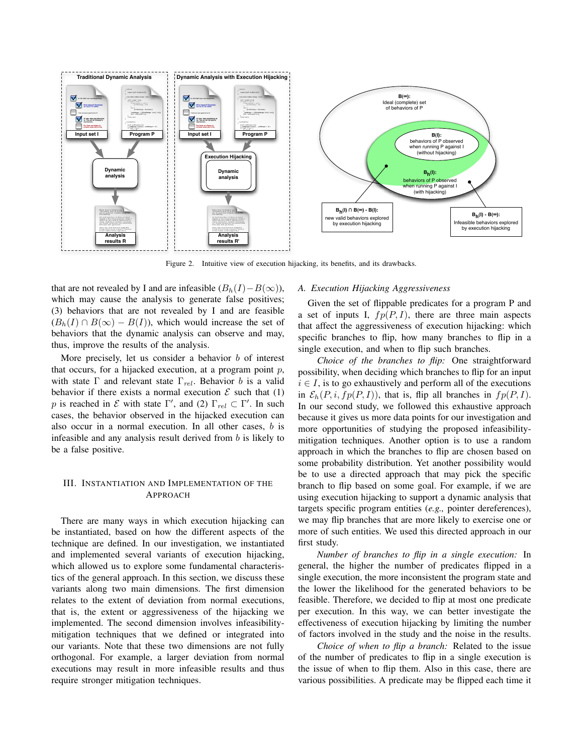

Figure 2. Intuitive view of execution hijacking, its benefits, and its drawbacks.

that are not revealed by I and are infeasible  $(B_h(I)-B(\infty))$ , which may cause the analysis to generate false positives; (3) behaviors that are not revealed by I and are feasible  $(B_h(I) \cap B(\infty) - B(I))$ , which would increase the set of behaviors that the dynamic analysis can observe and may, thus, improve the results of the analysis.

More precisely, let us consider a behavior  $b$  of interest that occurs, for a hijacked execution, at a program point  $p$ , with state  $\Gamma$  and relevant state  $\Gamma_{rel}$ . Behavior b is a valid behavior if there exists a normal execution  $\mathcal E$  such that (1) p is reached in  $\mathcal E$  with state  $\Gamma'$ , and (2)  $\Gamma_{rel} \subset \Gamma'$ . In such cases, the behavior observed in the hijacked execution can also occur in a normal execution. In all other cases, b is infeasible and any analysis result derived from  $b$  is likely to be a false positive.

# III. INSTANTIATION AND IMPLEMENTATION OF THE APPROACH

There are many ways in which execution hijacking can be instantiated, based on how the different aspects of the technique are defined. In our investigation, we instantiated and implemented several variants of execution hijacking, which allowed us to explore some fundamental characteristics of the general approach. In this section, we discuss these variants along two main dimensions. The first dimension relates to the extent of deviation from normal executions, that is, the extent or aggressiveness of the hijacking we implemented. The second dimension involves infeasibilitymitigation techniques that we defined or integrated into our variants. Note that these two dimensions are not fully orthogonal. For example, a larger deviation from normal executions may result in more infeasible results and thus require stronger mitigation techniques.

#### *A. Execution Hijacking Aggressiveness*

Given the set of flippable predicates for a program P and a set of inputs I,  $fp(P, I)$ , there are three main aspects that affect the aggressiveness of execution hijacking: which specific branches to flip, how many branches to flip in a single execution, and when to flip such branches.

*Choice of the branches to flip:* One straightforward possibility, when deciding which branches to flip for an input  $i \in I$ , is to go exhaustively and perform all of the executions in  $\mathcal{E}_h(P, i, fp(P, I))$ , that is, flip all branches in  $fp(P, I)$ . In our second study, we followed this exhaustive approach because it gives us more data points for our investigation and more opportunities of studying the proposed infeasibilitymitigation techniques. Another option is to use a random approach in which the branches to flip are chosen based on some probability distribution. Yet another possibility would be to use a directed approach that may pick the specific branch to flip based on some goal. For example, if we are using execution hijacking to support a dynamic analysis that targets specific program entities (*e.g.,* pointer dereferences), we may flip branches that are more likely to exercise one or more of such entities. We used this directed approach in our first study.

*Number of branches to flip in a single execution:* In general, the higher the number of predicates flipped in a single execution, the more inconsistent the program state and the lower the likelihood for the generated behaviors to be feasible. Therefore, we decided to flip at most one predicate per execution. In this way, we can better investigate the effectiveness of execution hijacking by limiting the number of factors involved in the study and the noise in the results.

*Choice of when to flip a branch:* Related to the issue of the number of predicates to flip in a single execution is the issue of when to flip them. Also in this case, there are various possibilities. A predicate may be flipped each time it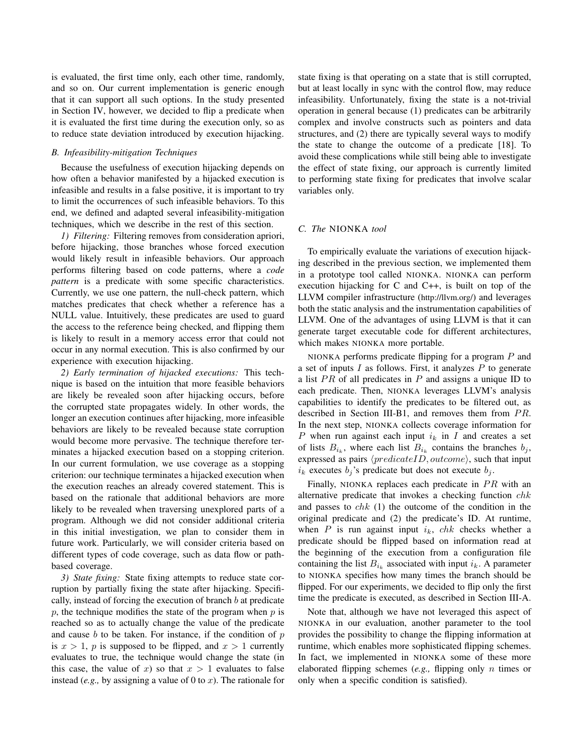is evaluated, the first time only, each other time, randomly, and so on. Our current implementation is generic enough that it can support all such options. In the study presented in Section IV, however, we decided to flip a predicate when it is evaluated the first time during the execution only, so as to reduce state deviation introduced by execution hijacking.

#### *B. Infeasibility-mitigation Techniques*

Because the usefulness of execution hijacking depends on how often a behavior manifested by a hijacked execution is infeasible and results in a false positive, it is important to try to limit the occurrences of such infeasible behaviors. To this end, we defined and adapted several infeasibility-mitigation techniques, which we describe in the rest of this section.

*1) Filtering:* Filtering removes from consideration apriori, before hijacking, those branches whose forced execution would likely result in infeasible behaviors. Our approach performs filtering based on code patterns, where a *code pattern* is a predicate with some specific characteristics. Currently, we use one pattern, the null-check pattern, which matches predicates that check whether a reference has a NULL value. Intuitively, these predicates are used to guard the access to the reference being checked, and flipping them is likely to result in a memory access error that could not occur in any normal execution. This is also confirmed by our experience with execution hijacking.

*2) Early termination of hijacked executions:* This technique is based on the intuition that more feasible behaviors are likely be revealed soon after hijacking occurs, before the corrupted state propagates widely. In other words, the longer an execution continues after hijacking, more infeasible behaviors are likely to be revealed because state corruption would become more pervasive. The technique therefore terminates a hijacked execution based on a stopping criterion. In our current formulation, we use coverage as a stopping criterion: our technique terminates a hijacked execution when the execution reaches an already covered statement. This is based on the rationale that additional behaviors are more likely to be revealed when traversing unexplored parts of a program. Although we did not consider additional criteria in this initial investigation, we plan to consider them in future work. Particularly, we will consider criteria based on different types of code coverage, such as data flow or pathbased coverage.

*3) State fixing:* State fixing attempts to reduce state corruption by partially fixing the state after hijacking. Specifically, instead of forcing the execution of branch b at predicate  $p$ , the technique modifies the state of the program when  $p$  is reached so as to actually change the value of the predicate and cause  $b$  to be taken. For instance, if the condition of  $p$ is  $x > 1$ , p is supposed to be flipped, and  $x > 1$  currently evaluates to true, the technique would change the state (in this case, the value of x) so that  $x > 1$  evaluates to false instead (*e.g.,* by assigning a value of 0 to x). The rationale for state fixing is that operating on a state that is still corrupted, but at least locally in sync with the control flow, may reduce infeasibility. Unfortunately, fixing the state is a not-trivial operation in general because (1) predicates can be arbitrarily complex and involve constructs such as pointers and data structures, and (2) there are typically several ways to modify the state to change the outcome of a predicate [18]. To avoid these complications while still being able to investigate the effect of state fixing, our approach is currently limited to performing state fixing for predicates that involve scalar variables only.

## *C. The* NIONKA *tool*

To empirically evaluate the variations of execution hijacking described in the previous section, we implemented them in a prototype tool called NIONKA. NIONKA can perform execution hijacking for C and C++, is built on top of the LLVM compiler infrastructure (http://llvm.org/) and leverages both the static analysis and the instrumentation capabilities of LLVM. One of the advantages of using LLVM is that it can generate target executable code for different architectures, which makes NIONKA more portable.

NIONKA performs predicate flipping for a program  $P$  and a set of inputs  $I$  as follows. First, it analyzes  $P$  to generate a list  $PR$  of all predicates in  $P$  and assigns a unique ID to each predicate. Then, NIONKA leverages LLVM's analysis capabilities to identify the predicates to be filtered out, as described in Section III-B1, and removes them from  $PR$ . In the next step, NIONKA collects coverage information for P when run against each input  $i_k$  in I and creates a set of lists  $B_{i_k}$ , where each list  $B_{i_k}$  contains the branches  $b_j$ , expressed as pairs  $\langle predicateID, outcome \rangle$ , such that input  $i_k$  executes  $b_j$ 's predicate but does not execute  $b_j$ .

Finally, NIONKA replaces each predicate in  $PR$  with an alternative predicate that invokes a checking function chk and passes to  $chk(1)$  the outcome of the condition in the original predicate and (2) the predicate's ID. At runtime, when  $P$  is run against input  $i_k$ ,  $chk$  checks whether a predicate should be flipped based on information read at the beginning of the execution from a configuration file containing the list  $B_{i_k}$  associated with input  $i_k$ . A parameter to NIONKA specifies how many times the branch should be flipped. For our experiments, we decided to flip only the first time the predicate is executed, as described in Section III-A.

Note that, although we have not leveraged this aspect of NIONKA in our evaluation, another parameter to the tool provides the possibility to change the flipping information at runtime, which enables more sophisticated flipping schemes. In fact, we implemented in NIONKA some of these more elaborated flipping schemes (*e.g.,* flipping only n times or only when a specific condition is satisfied).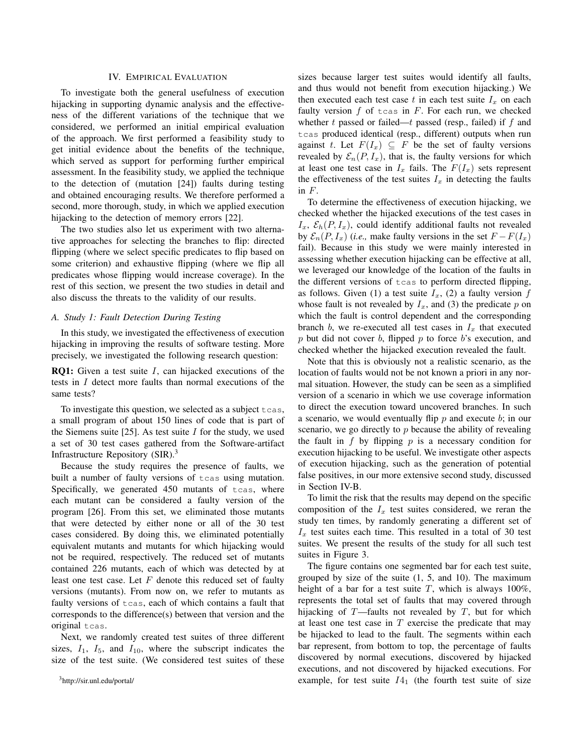## IV. EMPIRICAL EVALUATION

To investigate both the general usefulness of execution hijacking in supporting dynamic analysis and the effectiveness of the different variations of the technique that we considered, we performed an initial empirical evaluation of the approach. We first performed a feasibility study to get initial evidence about the benefits of the technique, which served as support for performing further empirical assessment. In the feasibility study, we applied the technique to the detection of (mutation [24]) faults during testing and obtained encouraging results. We therefore performed a second, more thorough, study, in which we applied execution hijacking to the detection of memory errors [22].

The two studies also let us experiment with two alternative approaches for selecting the branches to flip: directed flipping (where we select specific predicates to flip based on some criterion) and exhaustive flipping (where we flip all predicates whose flipping would increase coverage). In the rest of this section, we present the two studies in detail and also discuss the threats to the validity of our results.

#### *A. Study 1: Fault Detection During Testing*

In this study, we investigated the effectiveness of execution hijacking in improving the results of software testing. More precisely, we investigated the following research question:

**RQ1:** Given a test suite  $I$ , can hijacked executions of the tests in I detect more faults than normal executions of the same tests?

To investigate this question, we selected as a subject  $\text{teas},$ a small program of about 150 lines of code that is part of the Siemens suite [25]. As test suite  $I$  for the study, we used a set of 30 test cases gathered from the Software-artifact Infrastructure Repository (SIR).<sup>3</sup>

Because the study requires the presence of faults, we built a number of faulty versions of tcas using mutation. Specifically, we generated 450 mutants of tcas, where each mutant can be considered a faulty version of the program [26]. From this set, we eliminated those mutants that were detected by either none or all of the 30 test cases considered. By doing this, we eliminated potentially equivalent mutants and mutants for which hijacking would not be required, respectively. The reduced set of mutants contained 226 mutants, each of which was detected by at least one test case. Let  $F$  denote this reduced set of faulty versions (mutants). From now on, we refer to mutants as faulty versions of tcas, each of which contains a fault that corresponds to the difference(s) between that version and the original tcas.

Next, we randomly created test suites of three different sizes,  $I_1$ ,  $I_5$ , and  $I_{10}$ , where the subscript indicates the size of the test suite. (We considered test suites of these sizes because larger test suites would identify all faults, and thus would not benefit from execution hijacking.) We then executed each test case t in each test suite  $I_x$  on each faulty version  $f$  of tcas in  $F$ . For each run, we checked whether t passed or failed—t passed (resp., failed) if  $f$  and tcas produced identical (resp., different) outputs when run against t. Let  $F(I_x) \subseteq F$  be the set of faulty versions revealed by  $\mathcal{E}_n(P, I_x)$ , that is, the faulty versions for which at least one test case in  $I_x$  fails. The  $F(I_x)$  sets represent the effectiveness of the test suites  $I_x$  in detecting the faults in  $F$ .

To determine the effectiveness of execution hijacking, we checked whether the hijacked executions of the test cases in  $I_x$ ,  $\mathcal{E}_h(P, I_x)$ , could identify additional faults not revealed by  $\mathcal{E}_n(P, I_x)$  (*i.e.*, make faulty versions in the set  $F - F(I_x)$ ) fail). Because in this study we were mainly interested in assessing whether execution hijacking can be effective at all, we leveraged our knowledge of the location of the faults in the different versions of tcas to perform directed flipping, as follows. Given (1) a test suite  $I_x$ , (2) a faulty version f whose fault is not revealed by  $I_x$ , and (3) the predicate p on which the fault is control dependent and the corresponding branch b, we re-executed all test cases in  $I_x$  that executed  $p$  but did not cover  $b$ , flipped  $p$  to force  $b$ 's execution, and checked whether the hijacked execution revealed the fault.

Note that this is obviously not a realistic scenario, as the location of faults would not be not known a priori in any normal situation. However, the study can be seen as a simplified version of a scenario in which we use coverage information to direct the execution toward uncovered branches. In such a scenario, we would eventually flip  $p$  and execute  $b$ ; in our scenario, we go directly to  $p$  because the ability of revealing the fault in  $f$  by flipping  $p$  is a necessary condition for execution hijacking to be useful. We investigate other aspects of execution hijacking, such as the generation of potential false positives, in our more extensive second study, discussed in Section IV-B.

To limit the risk that the results may depend on the specific composition of the  $I_x$  test suites considered, we reran the study ten times, by randomly generating a different set of  $I_x$  test suites each time. This resulted in a total of 30 test suites. We present the results of the study for all such test suites in Figure 3.

The figure contains one segmented bar for each test suite, grouped by size of the suite (1, 5, and 10). The maximum height of a bar for a test suite  $T$ , which is always 100%, represents the total set of faults that may covered through hijacking of  $T$ —faults not revealed by  $T$ , but for which at least one test case in  $T$  exercise the predicate that may be hijacked to lead to the fault. The segments within each bar represent, from bottom to top, the percentage of faults discovered by normal executions, discovered by hijacked executions, and not discovered by hijacked executions. For example, for test suite  $I4_1$  (the fourth test suite of size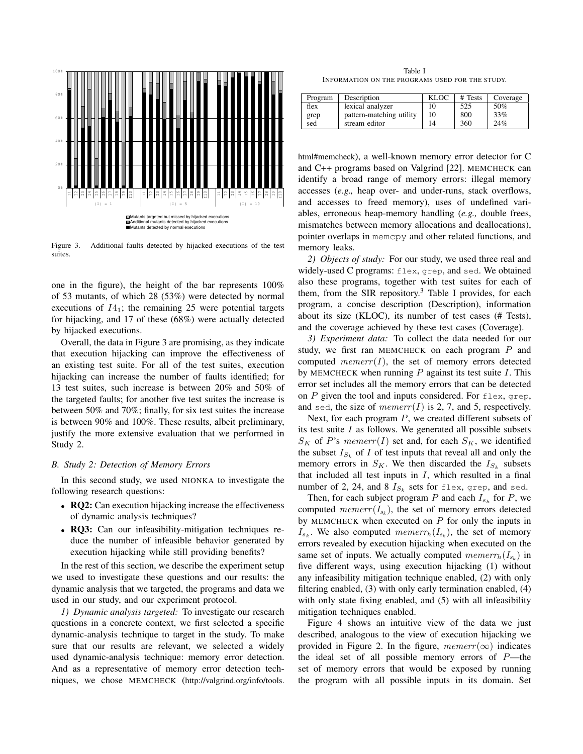![](_page_6_Figure_0.jpeg)

Figure 3. Additional faults detected by hijacked executions of the test suites.

one in the figure), the height of the bar represents 100% of 53 mutants, of which 28 (53%) were detected by normal executions of  $I4_1$ ; the remaining 25 were potential targets for hijacking, and 17 of these (68%) were actually detected by hijacked executions.

Overall, the data in Figure 3 are promising, as they indicate that execution hijacking can improve the effectiveness of an existing test suite. For all of the test suites, execution hijacking can increase the number of faults identified; for 13 test suites, such increase is between 20% and 50% of the targeted faults; for another five test suites the increase is between 50% and 70%; finally, for six test suites the increase is between 90% and 100%. These results, albeit preliminary, justify the more extensive evaluation that we performed in Study 2.

#### *B. Study 2: Detection of Memory Errors*

In this second study, we used NIONKA to investigate the following research questions:

- RQ2: Can execution hijacking increase the effectiveness of dynamic analysis techniques?
- RQ3: Can our infeasibility-mitigation techniques reduce the number of infeasible behavior generated by execution hijacking while still providing benefits?

In the rest of this section, we describe the experiment setup we used to investigate these questions and our results: the dynamic analysis that we targeted, the programs and data we used in our study, and our experiment protocol.

*1) Dynamic analysis targeted:* To investigate our research questions in a concrete context, we first selected a specific dynamic-analysis technique to target in the study. To make sure that our results are relevant, we selected a widely used dynamic-analysis technique: memory error detection. And as a representative of memory error detection techniques, we chose MEMCHECK (http://valgrind.org/info/tools.

Table I INFORMATION ON THE PROGRAMS USED FOR THE STUDY.

| Program | Description              | KLOC. | # Tests | Coverage |
|---------|--------------------------|-------|---------|----------|
| flex    | lexical analyzer         |       | 525     | 50%      |
| grep    | pattern-matching utility |       | 800     | 33%      |
| sed     | stream editor            |       | 360     | 24%      |

html#memcheck), a well-known memory error detector for C and C++ programs based on Valgrind [22]. MEMCHECK can identify a broad range of memory errors: illegal memory accesses (*e.g.,* heap over- and under-runs, stack overflows, and accesses to freed memory), uses of undefined variables, erroneous heap-memory handling (*e.g.,* double frees, mismatches between memory allocations and deallocations), pointer overlaps in memcpy and other related functions, and memory leaks.

*2) Objects of study:* For our study, we used three real and widely-used C programs: flex, grep, and sed. We obtained also these programs, together with test suites for each of them, from the SIR repository.<sup>3</sup> Table I provides, for each program, a concise description (Description), information about its size (KLOC), its number of test cases (# Tests), and the coverage achieved by these test cases (Coverage).

*3) Experiment data:* To collect the data needed for our study, we first ran MEMCHECK on each program P and computed  $memerr(I)$ , the set of memory errors detected by MEMCHECK when running  $P$  against its test suite  $I$ . This error set includes all the memory errors that can be detected on  $P$  given the tool and inputs considered. For  $f$ lex, grep, and sed, the size of  $\mathit{memory}(I)$  is 2, 7, and 5, respectively.

Next, for each program  $P$ , we created different subsets of its test suite  $I$  as follows. We generated all possible subsets  $S_K$  of P's memerr(I) set and, for each  $S_K$ , we identified the subset  $I_{S_k}$  of I of test inputs that reveal all and only the memory errors in  $S_K$ . We then discarded the  $I_{S_k}$  subsets that included all test inputs in  $I$ , which resulted in a final number of 2, 24, and 8  $I_{S_k}$  sets for flex, grep, and sed.

Then, for each subject program  $P$  and each  $I_{s_k}$  for  $P$ , we computed  $\mathit{memberr}(I_{s_k})$ , the set of memory errors detected by MEMCHECK when executed on  $P$  for only the inputs in  $I_{s_k}$ . We also computed memerr<sub>h</sub>( $I_{s_k}$ ), the set of memory errors revealed by execution hijacking when executed on the same set of inputs. We actually computed  $\mathit{memberr}_h(I_{s_k})$  in five different ways, using execution hijacking (1) without any infeasibility mitigation technique enabled, (2) with only filtering enabled, (3) with only early termination enabled, (4) with only state fixing enabled, and  $(5)$  with all infeasibility mitigation techniques enabled.

Figure 4 shows an intuitive view of the data we just described, analogous to the view of execution hijacking we provided in Figure 2. In the figure,  $memerr(\infty)$  indicates the ideal set of all possible memory errors of  $P$ —the set of memory errors that would be exposed by running the program with all possible inputs in its domain. Set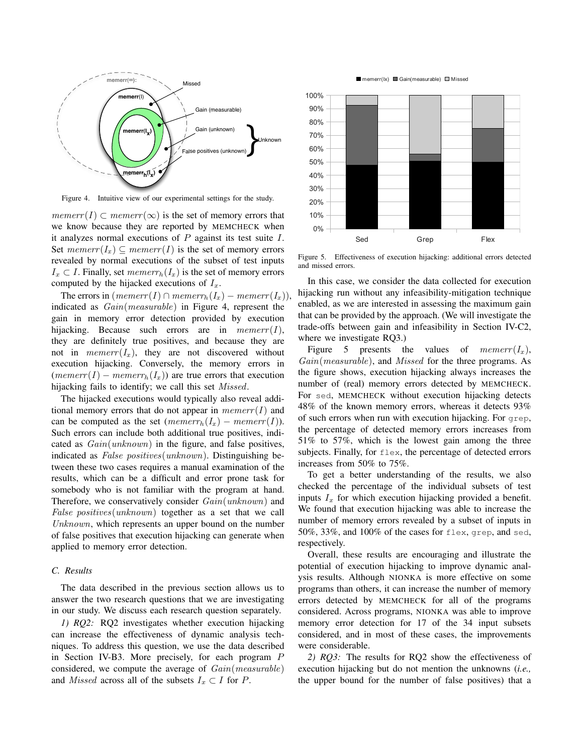![](_page_7_Figure_0.jpeg)

Figure 4. Intuitive view of our experimental settings for the study.

 $\mathit{memerr}(I) \subset \mathit{memerr}(\infty)$  is the set of memory errors that we know because they are reported by MEMCHECK when it analyzes normal executions of  $P$  against its test suite  $I$ . Set  $\mathit{memer}(I_x) \subseteq \mathit{memer}(I)$  is the set of memory errors revealed by normal executions of the subset of test inputs  $I_x \subset I$ . Finally, set *memerr*<sub>h</sub> $(I_x)$  is the set of memory errors computed by the hijacked executions of  $I_x$ .

The errors in  $(memerr(I) \cap memerr_h(I_x) - memerr(I_x))$ indicated as  $Gain(measurable)$  in Figure 4, represent the gain in memory error detection provided by execution hijacking. Because such errors are in  $memory(I)$ , they are definitely true positives, and because they are not in  $memory(I_x)$ , they are not discovered without execution hijacking. Conversely, the memory errors in  $(memerr(I) - memerr<sub>h</sub>(I<sub>x</sub>))$  are true errors that execution hijacking fails to identify; we call this set Missed.

The hijacked executions would typically also reveal additional memory errors that do not appear in  $\mathit{memberr}(I)$  and can be computed as the set  $(memerr_h(I_x) - memerr(I)).$ Such errors can include both additional true positives, indicated as Gain(unknown) in the figure, and false positives, indicated as False positives(unknown). Distinguishing between these two cases requires a manual examination of the results, which can be a difficult and error prone task for somebody who is not familiar with the program at hand. Therefore, we conservatively consider  $Gain(unknown)$  and False positives(unknown) together as a set that we call Unknown, which represents an upper bound on the number of false positives that execution hijacking can generate when applied to memory error detection.

## *C. Results*

The data described in the previous section allows us to answer the two research questions that we are investigating in our study. We discuss each research question separately.

*1) RQ2:* RQ2 investigates whether execution hijacking can increase the effectiveness of dynamic analysis techniques. To address this question, we use the data described in Section IV-B3. More precisely, for each program P considered, we compute the average of Gain(measurable) and *Missed* across all of the subsets  $I_x \subset I$  for P.

 $\blacksquare$  memerr(Ix)  $\blacksquare$  Gain(measurable)  $\blacksquare$  Missed

![](_page_7_Figure_9.jpeg)

Figure 5. Effectiveness of execution hijacking: additional errors detected and missed errors.

In this case, we consider the data collected for execution hijacking run without any infeasibility-mitigation technique enabled, as we are interested in assessing the maximum gain that can be provided by the approach. (We will investigate the trade-offs between gain and infeasibility in Section IV-C2, where we investigate RQ3.)

Figure 5 presents the values of  $memerr(I_x)$ , Gain(measurable), and Missed for the three programs. As the figure shows, execution hijacking always increases the number of (real) memory errors detected by MEMCHECK. For sed, MEMCHECK without execution hijacking detects 48% of the known memory errors, whereas it detects 93% of such errors when run with execution hijacking. For grep, the percentage of detected memory errors increases from 51% to 57%, which is the lowest gain among the three subjects. Finally, for flex, the percentage of detected errors increases from 50% to 75%.

To get a better understanding of the results, we also checked the percentage of the individual subsets of test inputs  $I_x$  for which execution hijacking provided a benefit. We found that execution hijacking was able to increase the number of memory errors revealed by a subset of inputs in 50%, 33%, and 100% of the cases for flex, grep, and sed, respectively.

Overall, these results are encouraging and illustrate the potential of execution hijacking to improve dynamic analysis results. Although NIONKA is more effective on some programs than others, it can increase the number of memory errors detected by MEMCHECK for all of the programs considered. Across programs, NIONKA was able to improve memory error detection for 17 of the 34 input subsets considered, and in most of these cases, the improvements were considerable.

*2) RQ3:* The results for RQ2 show the effectiveness of execution hijacking but do not mention the unknowns (*i.e.,* the upper bound for the number of false positives) that a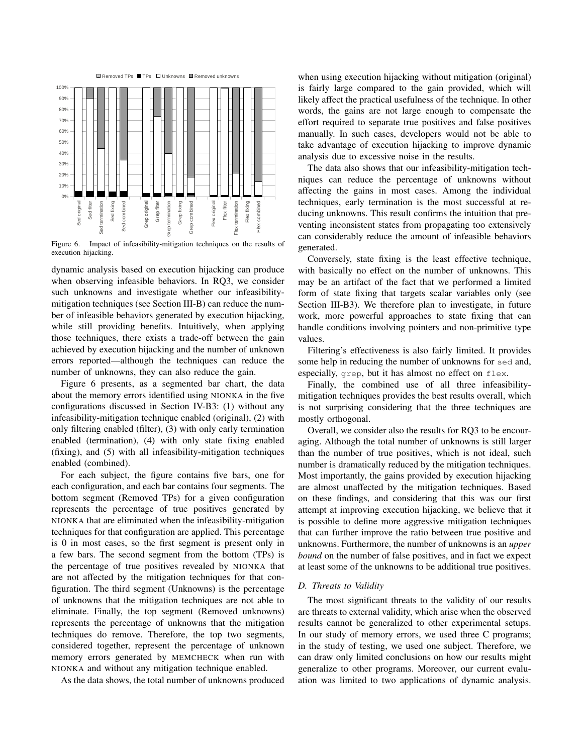![](_page_8_Figure_0.jpeg)

Figure 6. Impact of infeasibility-mitigation techniques on the results of execution hijacking.

dynamic analysis based on execution hijacking can produce when observing infeasible behaviors. In RQ3, we consider such unknowns and investigate whether our infeasibilitymitigation techniques (see Section III-B) can reduce the number of infeasible behaviors generated by execution hijacking, while still providing benefits. Intuitively, when applying those techniques, there exists a trade-off between the gain achieved by execution hijacking and the number of unknown errors reported—although the techniques can reduce the number of unknowns, they can also reduce the gain.

Figure 6 presents, as a segmented bar chart, the data about the memory errors identified using NIONKA in the five configurations discussed in Section IV-B3: (1) without any infeasibility-mitigation technique enabled (original), (2) with only filtering enabled (filter), (3) with only early termination enabled (termination), (4) with only state fixing enabled (fixing), and (5) with all infeasibility-mitigation techniques enabled (combined).

For each subject, the figure contains five bars, one for each configuration, and each bar contains four segments. The bottom segment (Removed TPs) for a given configuration represents the percentage of true positives generated by NIONKA that are eliminated when the infeasibility-mitigation techniques for that configuration are applied. This percentage is 0 in most cases, so the first segment is present only in a few bars. The second segment from the bottom (TPs) is the percentage of true positives revealed by NIONKA that are not affected by the mitigation techniques for that configuration. The third segment (Unknowns) is the percentage of unknowns that the mitigation techniques are not able to eliminate. Finally, the top segment (Removed unknowns) represents the percentage of unknowns that the mitigation techniques do remove. Therefore, the top two segments, considered together, represent the percentage of unknown memory errors generated by MEMCHECK when run with NIONKA and without any mitigation technique enabled.

As the data shows, the total number of unknowns produced

when using execution hijacking without mitigation (original) is fairly large compared to the gain provided, which will likely affect the practical usefulness of the technique. In other words, the gains are not large enough to compensate the effort required to separate true positives and false positives manually. In such cases, developers would not be able to take advantage of execution hijacking to improve dynamic analysis due to excessive noise in the results.

The data also shows that our infeasibility-mitigation techniques can reduce the percentage of unknowns without affecting the gains in most cases. Among the individual techniques, early termination is the most successful at reducing unknowns. This result confirms the intuition that preventing inconsistent states from propagating too extensively can considerably reduce the amount of infeasible behaviors generated.

Conversely, state fixing is the least effective technique, with basically no effect on the number of unknowns. This may be an artifact of the fact that we performed a limited form of state fixing that targets scalar variables only (see Section III-B3). We therefore plan to investigate, in future work, more powerful approaches to state fixing that can handle conditions involving pointers and non-primitive type values.

Filtering's effectiveness is also fairly limited. It provides some help in reducing the number of unknowns for sed and, especially, grep, but it has almost no effect on flex.

Finally, the combined use of all three infeasibilitymitigation techniques provides the best results overall, which is not surprising considering that the three techniques are mostly orthogonal.

Overall, we consider also the results for RQ3 to be encouraging. Although the total number of unknowns is still larger than the number of true positives, which is not ideal, such number is dramatically reduced by the mitigation techniques. Most importantly, the gains provided by execution hijacking are almost unaffected by the mitigation techniques. Based on these findings, and considering that this was our first attempt at improving execution hijacking, we believe that it is possible to define more aggressive mitigation techniques that can further improve the ratio between true positive and unknowns. Furthermore, the number of unknowns is an *upper bound* on the number of false positives, and in fact we expect at least some of the unknowns to be additional true positives.

## *D. Threats to Validity*

The most significant threats to the validity of our results are threats to external validity, which arise when the observed results cannot be generalized to other experimental setups. In our study of memory errors, we used three C programs; in the study of testing, we used one subject. Therefore, we can draw only limited conclusions on how our results might generalize to other programs. Moreover, our current evaluation was limited to two applications of dynamic analysis.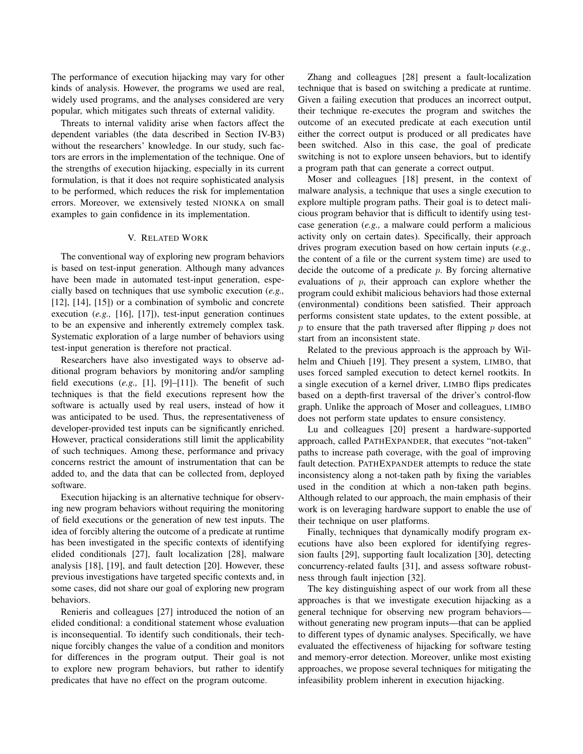The performance of execution hijacking may vary for other kinds of analysis. However, the programs we used are real, widely used programs, and the analyses considered are very popular, which mitigates such threats of external validity.

Threats to internal validity arise when factors affect the dependent variables (the data described in Section IV-B3) without the researchers' knowledge. In our study, such factors are errors in the implementation of the technique. One of the strengths of execution hijacking, especially in its current formulation, is that it does not require sophisticated analysis to be performed, which reduces the risk for implementation errors. Moreover, we extensively tested NIONKA on small examples to gain confidence in its implementation.

#### V. RELATED WORK

The conventional way of exploring new program behaviors is based on test-input generation. Although many advances have been made in automated test-input generation, especially based on techniques that use symbolic execution (*e.g.,* [12], [14], [15]) or a combination of symbolic and concrete execution (*e.g.,* [16], [17]), test-input generation continues to be an expensive and inherently extremely complex task. Systematic exploration of a large number of behaviors using test-input generation is therefore not practical.

Researchers have also investigated ways to observe additional program behaviors by monitoring and/or sampling field executions (*e.g.,* [1], [9]–[11]). The benefit of such techniques is that the field executions represent how the software is actually used by real users, instead of how it was anticipated to be used. Thus, the representativeness of developer-provided test inputs can be significantly enriched. However, practical considerations still limit the applicability of such techniques. Among these, performance and privacy concerns restrict the amount of instrumentation that can be added to, and the data that can be collected from, deployed software.

Execution hijacking is an alternative technique for observing new program behaviors without requiring the monitoring of field executions or the generation of new test inputs. The idea of forcibly altering the outcome of a predicate at runtime has been investigated in the specific contexts of identifying elided conditionals [27], fault localization [28], malware analysis [18], [19], and fault detection [20]. However, these previous investigations have targeted specific contexts and, in some cases, did not share our goal of exploring new program behaviors.

Renieris and colleagues [27] introduced the notion of an elided conditional: a conditional statement whose evaluation is inconsequential. To identify such conditionals, their technique forcibly changes the value of a condition and monitors for differences in the program output. Their goal is not to explore new program behaviors, but rather to identify predicates that have no effect on the program outcome.

Zhang and colleagues [28] present a fault-localization technique that is based on switching a predicate at runtime. Given a failing execution that produces an incorrect output, their technique re-executes the program and switches the outcome of an executed predicate at each execution until either the correct output is produced or all predicates have been switched. Also in this case, the goal of predicate switching is not to explore unseen behaviors, but to identify a program path that can generate a correct output.

Moser and colleagues [18] present, in the context of malware analysis, a technique that uses a single execution to explore multiple program paths. Their goal is to detect malicious program behavior that is difficult to identify using testcase generation (*e.g.,* a malware could perform a malicious activity only on certain dates). Specifically, their approach drives program execution based on how certain inputs (*e.g.,* the content of a file or the current system time) are used to decide the outcome of a predicate  $p$ . By forcing alternative evaluations of  $p$ , their approach can explore whether the program could exhibit malicious behaviors had those external (environmental) conditions been satisfied. Their approach performs consistent state updates, to the extent possible, at  $p$  to ensure that the path traversed after flipping  $p$  does not start from an inconsistent state.

Related to the previous approach is the approach by Wilhelm and Chiueh [19]. They present a system, LIMBO, that uses forced sampled execution to detect kernel rootkits. In a single execution of a kernel driver, LIMBO flips predicates based on a depth-first traversal of the driver's control-flow graph. Unlike the approach of Moser and colleagues, LIMBO does not perform state updates to ensure consistency.

Lu and colleagues [20] present a hardware-supported approach, called PATHEXPANDER, that executes "not-taken" paths to increase path coverage, with the goal of improving fault detection. PATHEXPANDER attempts to reduce the state inconsistency along a not-taken path by fixing the variables used in the condition at which a non-taken path begins. Although related to our approach, the main emphasis of their work is on leveraging hardware support to enable the use of their technique on user platforms.

Finally, techniques that dynamically modify program executions have also been explored for identifying regression faults [29], supporting fault localization [30], detecting concurrency-related faults [31], and assess software robustness through fault injection [32].

The key distinguishing aspect of our work from all these approaches is that we investigate execution hijacking as a general technique for observing new program behaviors without generating new program inputs—that can be applied to different types of dynamic analyses. Specifically, we have evaluated the effectiveness of hijacking for software testing and memory-error detection. Moreover, unlike most existing approaches, we propose several techniques for mitigating the infeasibility problem inherent in execution hijacking.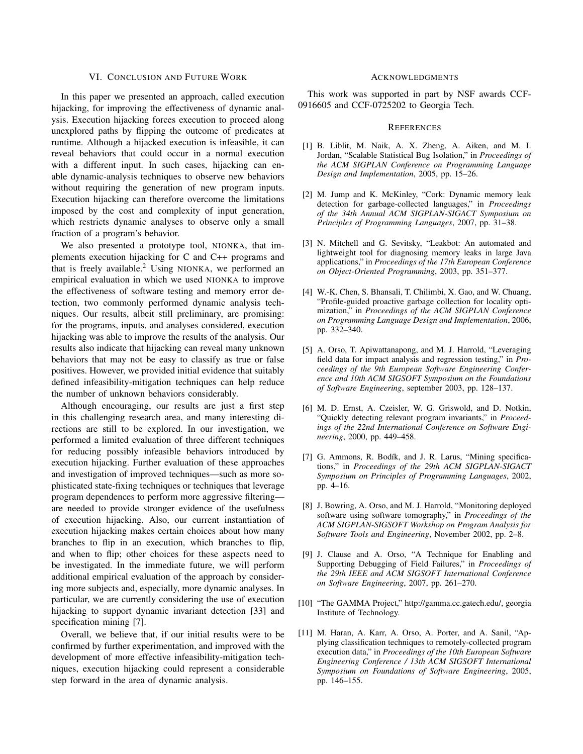## VI. CONCLUSION AND FUTURE WORK

In this paper we presented an approach, called execution hijacking, for improving the effectiveness of dynamic analysis. Execution hijacking forces execution to proceed along unexplored paths by flipping the outcome of predicates at runtime. Although a hijacked execution is infeasible, it can reveal behaviors that could occur in a normal execution with a different input. In such cases, hijacking can enable dynamic-analysis techniques to observe new behaviors without requiring the generation of new program inputs. Execution hijacking can therefore overcome the limitations imposed by the cost and complexity of input generation, which restricts dynamic analyses to observe only a small fraction of a program's behavior.

We also presented a prototype tool, NIONKA, that implements execution hijacking for C and C++ programs and that is freely available.<sup>2</sup> Using NIONKA, we performed an empirical evaluation in which we used NIONKA to improve the effectiveness of software testing and memory error detection, two commonly performed dynamic analysis techniques. Our results, albeit still preliminary, are promising: for the programs, inputs, and analyses considered, execution hijacking was able to improve the results of the analysis. Our results also indicate that hijacking can reveal many unknown behaviors that may not be easy to classify as true or false positives. However, we provided initial evidence that suitably defined infeasibility-mitigation techniques can help reduce the number of unknown behaviors considerably.

Although encouraging, our results are just a first step in this challenging research area, and many interesting directions are still to be explored. In our investigation, we performed a limited evaluation of three different techniques for reducing possibly infeasible behaviors introduced by execution hijacking. Further evaluation of these approaches and investigation of improved techniques—such as more sophisticated state-fixing techniques or techniques that leverage program dependences to perform more aggressive filtering are needed to provide stronger evidence of the usefulness of execution hijacking. Also, our current instantiation of execution hijacking makes certain choices about how many branches to flip in an execution, which branches to flip, and when to flip; other choices for these aspects need to be investigated. In the immediate future, we will perform additional empirical evaluation of the approach by considering more subjects and, especially, more dynamic analyses. In particular, we are currently considering the use of execution hijacking to support dynamic invariant detection [33] and specification mining [7].

Overall, we believe that, if our initial results were to be confirmed by further experimentation, and improved with the development of more effective infeasibility-mitigation techniques, execution hijacking could represent a considerable step forward in the area of dynamic analysis.

#### ACKNOWLEDGMENTS

This work was supported in part by NSF awards CCF-0916605 and CCF-0725202 to Georgia Tech.

#### **REFERENCES**

- [1] B. Liblit, M. Naik, A. X. Zheng, A. Aiken, and M. I. Jordan, "Scalable Statistical Bug Isolation," in *Proceedings of the ACM SIGPLAN Conference on Programming Language Design and Implementation*, 2005, pp. 15–26.
- [2] M. Jump and K. McKinley, "Cork: Dynamic memory leak detection for garbage-collected languages," in *Proceedings of the 34th Annual ACM SIGPLAN-SIGACT Symposium on Principles of Programming Languages*, 2007, pp. 31–38.
- [3] N. Mitchell and G. Sevitsky, "Leakbot: An automated and lightweight tool for diagnosing memory leaks in large Java applications," in *Proceedings of the 17th European Conference on Object-Oriented Programming*, 2003, pp. 351–377.
- [4] W.-K. Chen, S. Bhansali, T. Chilimbi, X. Gao, and W. Chuang, "Profile-guided proactive garbage collection for locality optimization," in *Proceedings of the ACM SIGPLAN Conference on Programming Language Design and Implementation*, 2006, pp. 332–340.
- [5] A. Orso, T. Apiwattanapong, and M. J. Harrold, "Leveraging field data for impact analysis and regression testing," in *Proceedings of the 9th European Software Engineering Conference and 10th ACM SIGSOFT Symposium on the Foundations of Software Engineering*, september 2003, pp. 128–137.
- [6] M. D. Ernst, A. Czeisler, W. G. Griswold, and D. Notkin, "Quickly detecting relevant program invariants," in *Proceedings of the 22nd International Conference on Software Engineering*, 2000, pp. 449–458.
- [7] G. Ammons, R. Bodík, and J. R. Larus, "Mining specifications," in *Proceedings of the 29th ACM SIGPLAN-SIGACT Symposium on Principles of Programming Languages*, 2002, pp. 4–16.
- [8] J. Bowring, A. Orso, and M. J. Harrold, "Monitoring deployed software using software tomography," in *Proceedings of the ACM SIGPLAN-SIGSOFT Workshop on Program Analysis for Software Tools and Engineering*, November 2002, pp. 2–8.
- [9] J. Clause and A. Orso, "A Technique for Enabling and Supporting Debugging of Field Failures," in *Proceedings of the 29th IEEE and ACM SIGSOFT International Conference on Software Engineering*, 2007, pp. 261–270.
- [10] "The GAMMA Project," http://gamma.cc.gatech.edu/, georgia Institute of Technology.
- [11] M. Haran, A. Karr, A. Orso, A. Porter, and A. Sanil, "Applying classification techniques to remotely-collected program execution data," in *Proceedings of the 10th European Software Engineering Conference / 13th ACM SIGSOFT International Symposium on Foundations of Software Engineering*, 2005, pp. 146–155.